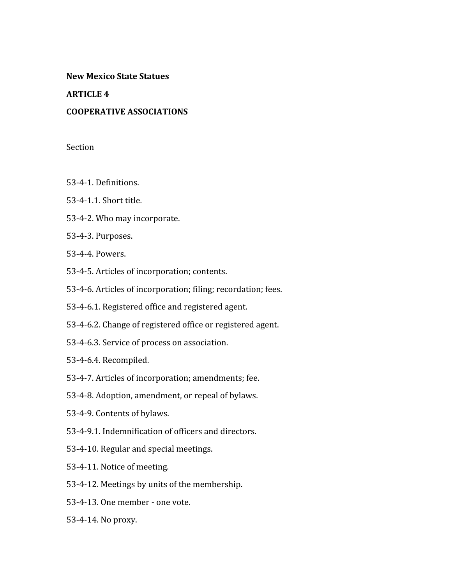## **New
Mexico
State
Statues**

## **ARTICLE
4**

## **COOPERATIVE
ASSOCIATIONS**

## Section

- 53‐4‐1.
Definitions.
- 53‐4‐1.1.
Short
title.
- 53‐4‐2.
Who
may
incorporate.
- 53‐4‐3.
Purposes.
- 53‐4‐4.
Powers.
- 53‐4‐5.
Articles
of
incorporation;
contents.
- 53‐4‐6.
Articles
of
incorporation;
filing;
recordation;
fees.
- 53‐4‐6.1.
Registered
office
and
registered
agent.
- 53‐4‐6.2.
Change
of
registered
office
or
registered
agent.
- 53‐4‐6.3.
Service
of
process
on
association.
- 53‐4‐6.4.
Recompiled.
- 53‐4‐7.
Articles
of
incorporation;
amendments;
fee.
- 53‐4‐8.
Adoption,
amendment,
or
repeal
of
bylaws.
- 53‐4‐9.
Contents
of
bylaws.
- 53‐4‐9.1.
Indemnification
of
officers
and
directors.
- 53‐4‐10.
Regular
and
special
meetings.
- 53‐4‐11.
Notice
of
meeting.
- 53‐4‐12.
Meetings
by
units
of
the
membership.
- 53‐4‐13.
One
member
‐
one
vote.
- 53‐4‐14.
No
proxy.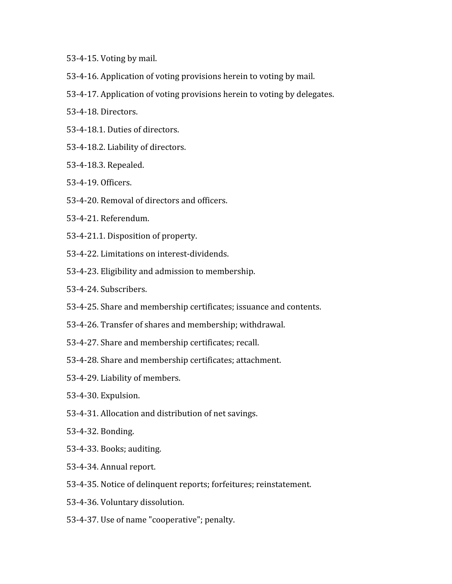- 53‐4‐15.
Voting
by
mail.
- 53‐4‐16.
Application
of
voting
provisions
herein
to
voting
by
mail.
- 53‐4‐17.
Application
of
voting
provisions
herein
to
voting
by
delegates.
- 53‐4‐18.
Directors.
- 53‐4‐18.1.
Duties
of
directors.
- 53‐4‐18.2.
Liability
of
directors.
- 53‐4‐18.3.
Repealed.
- 53‐4‐19.
Officers.
- 53‐4‐20.
Removal
of
directors
and
officers.
- 53‐4‐21.
Referendum.
- 53‐4‐21.1.
Disposition
of
property.
- 53‐4‐22.
Limitations
on
interest‐dividends.
- 53‐4‐23.
Eligibility
and
admission
to
membership.
- 53‐4‐24.
Subscribers.
- 53‐4‐25.
Share
and
membership
certificates;
issuance
and
contents.
- 53‐4‐26.
Transfer
of
shares
and
membership;
withdrawal.
- 53‐4‐27.
Share
and
membership
certificates;
recall.
- 53‐4‐28.
Share
and
membership
certificates;
attachment.
- 53‐4‐29.
Liability
of
members.
- 53‐4‐30.
Expulsion.
- 53‐4‐31.
Allocation
and
distribution
of
net
savings.
- 53‐4‐32.
Bonding.
- 53‐4‐33.
Books;
auditing.
- 53‐4‐34.
Annual
report.
- 53‐4‐35.
Notice
of
delinquent
reports;
forfeitures;
reinstatement.
- 53‐4‐36.
Voluntary
dissolution.
- 53‐4‐37.
Use
of
name
"cooperative";
penalty.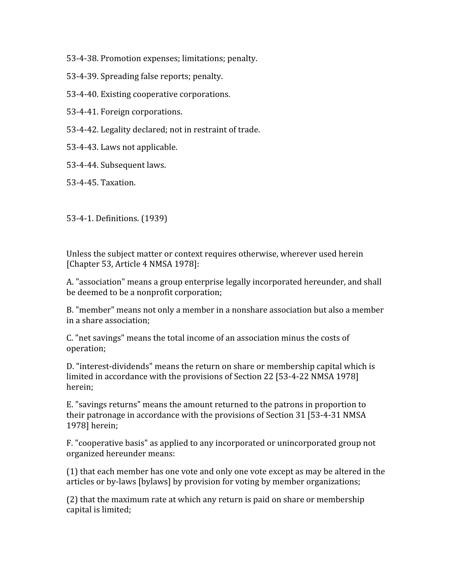53‐4‐38.
Promotion
expenses;
limitations;
penalty.

- 53‐4‐39.
Spreading
false
reports;
penalty.
- 53‐4‐40.
Existing
cooperative
corporations.

53‐4‐41.
Foreign
corporations.

53‐4‐42.
Legality
declared;
not
in
restraint
of
trade.

53‐4‐43.
Laws
not
applicable.

53‐4‐44.
Subsequent
laws.

53‐4‐45.
Taxation.

53‐4‐1.
Definitions.
(1939)

Unless the subject matter or context requires otherwise, wherever used herein [Chapter 53, Article 4 NMSA 1978]:

A. "association" means a group enterprise legally incorporated hereunder, and shall be
deemed
to
be
a
nonprofit
corporation;

B. "member" means not only a member in a nonshare association but also a member in
a
share
association;

C.
"net
savings"
means
the
total
income
of
an
association
minus
the
costs
of operation;

D. "interest-dividends" means the return on share or membership capital which is limited in accordance with the provisions of Section 22 [53-4-22 NMSA 1978] herein;

E.
"savings
returns"
means
the
amount
returned
to
the
patrons
in
proportion
to their
patronage
in
accordance
with
the
provisions
of
Section
31
[53‐4‐31
NMSA 1978]
herein;

F. "cooperative basis" as applied to any incorporated or unincorporated group not organized
hereunder
means:

(1)
that
each
member
has
one
vote
and
only
one
vote
except
as
may
be
altered
in
the articles
or
by‐laws
[bylaws]
by
provision
for
voting
by
member
organizations;

(2)
that
the
maximum
rate
at
which
any
return
is
paid
on
share
or
membership capital
is
limited;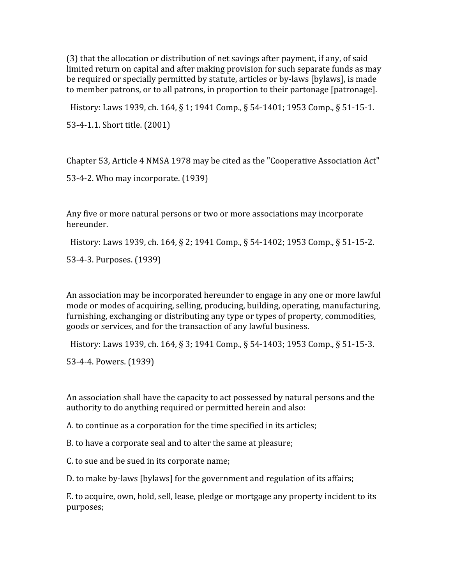(3)
that
the
allocation
or
distribution
of
net
savings
after
payment,
if
any,
of
said limited return on capital and after making provision for such separate funds as may be required or specially permitted by statute, articles or by-laws [bylaws], is made to member patrons, or to all patrons, in proportion to their partonage [patronage].

History: Laws 1939, ch. 164, § 1; 1941 Comp., § 54-1401; 1953 Comp., § 51-15-1.

53‐4‐1.1.
Short
title.
(2001)

Chapter
53,
Article
4
NMSA
1978
may
be
cited
as
the
"Cooperative
Association
Act"

53‐4‐2.
Who
may
incorporate.
(1939)

Any
five
or
more
natural
persons
or
two
or
more
associations
may
incorporate hereunder.

History: Laws 1939, ch. 164, § 2; 1941 Comp., § 54-1402; 1953 Comp., § 51-15-2.

53‐4‐3.
Purposes.
(1939)

An association may be incorporated hereunder to engage in any one or more lawful mode
or
modes
of
acquiring,
selling,
producing,
building,
operating,
manufacturing, furnishing, exchanging or distributing any type or types of property, commodities, goods
or
services,
and
for
the
transaction
of
any
lawful
business.

History: Laws 1939, ch. 164, § 3; 1941 Comp., § 54-1403; 1953 Comp., § 51-15-3.

53‐4‐4.
Powers.
(1939)

An association shall have the capacity to act possessed by natural persons and the authority to do anything required or permitted herein and also:

A.
to
continue
as
a
corporation
for
the
time
specified
in
its
articles;

B.
to
have
a
corporate
seal
and
to
alter
the
same
at
pleasure;

C to sue and be sued in its corporate name;

D.
to
make
by‐laws
[bylaws]
for
the
government
and
regulation
of
its
affairs;

E. to acquire, own, hold, sell, lease, pledge or mortgage any property incident to its purposes;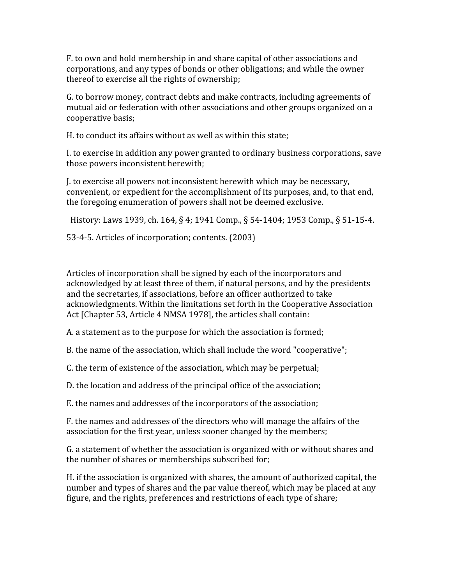F.
to
own
and
hold
membership
in
and
share
capital
of
other
associations
and corporations,
and
any
types
of
bonds
or
other
obligations;
and
while
the
owner thereof
to
exercise
all
the
rights
of
ownership;

G.
to
borrow
money,
contract
debts
and
make
contracts,
including
agreements
of mutual
aid
or
federation
with
other
associations
and
other
groups
organized
on
a cooperative
basis;

H, to conduct its affairs without as well as within this state:

I.
to
exercise
in
addition
any
power
granted
to
ordinary
business
corporations,
save those
powers
inconsistent
herewith;

J.
to
exercise
all
powers
not
inconsistent
herewith
which
may
be
necessary, convenient,
or
expedient
for
the
accomplishment
of
its
purposes,
and,
to
that
end, the
foregoing
enumeration
of
powers
shall
not
be
deemed
exclusive.

History: Laws 1939, ch. 164, § 4; 1941 Comp., § 54-1404; 1953 Comp., § 51-15-4.

53‐4‐5.
Articles
of
incorporation;
contents.
(2003)

Articles
of
incorporation
shall
be
signed
by
each
of
the
incorporators
and acknowledged by at least three of them, if natural persons, and by the presidents and
the
secretaries,
if
associations,
before
an
officer
authorized
to
take acknowledgments. Within the limitations set forth in the Cooperative Association Act [Chapter 53, Article 4 NMSA 1978], the articles shall contain:

A.
a
statement
as
to
the
purpose
for
which
the
association
is
formed;

B, the name of the association, which shall include the word "cooperative";

C.
the
term
of
existence
of
the
association,
which
may
be
perpetual;

D.
the
location
and
address
of
the
principal
office
of
the
association;

E.
the
names
and
addresses
of
the
incorporators
of
the
association;

F. the names and addresses of the directors who will manage the affairs of the association
for
the
first
year,
unless
sooner
changed
by
the
members;

G.
a
statement
of
whether
the
association
is
organized
with
or
without
shares
and the
number
of
shares
or
memberships
subscribed
for;

H.
if
the
association
is
organized
with
shares,
the
amount
of
authorized
capital,
the number and types of shares and the par value thereof, which may be placed at any figure, and the rights, preferences and restrictions of each type of share;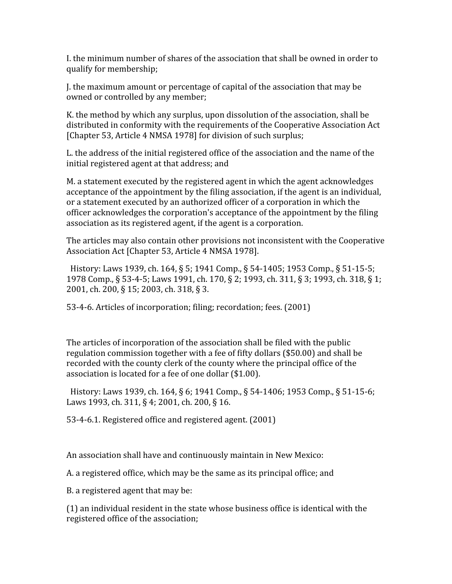I, the minimum number of shares of the association that shall be owned in order to qualify
for
membership;

I. the maximum amount or percentage of capital of the association that may be owned
or
controlled
by
any
member;

K, the method by which any surplus, upon dissolution of the association, shall be distributed in conformity with the requirements of the Cooperative Association Act [Chapter 53, Article 4 NMSA 1978] for division of such surplus;

L the address of the initial registered office of the association and the name of the initial
registered
agent
at
that
address;
and

M.
a
statement
executed
by
the
registered
agent
in
which
the
agent
acknowledges acceptance of the appointment by the filing association, if the agent is an individual, or
a
statement
executed
by
an
authorized
officer
of
a
corporation
in
which
the officer
acknowledges
the
corporation's
acceptance
of
the
appointment
by
the
filing association as its registered agent, if the agent is a corporation.

The articles may also contain other provisions not inconsistent with the Cooperative Association
Act
[Chapter
53,
Article
4
NMSA
1978].

History: Laws 1939, ch. 164, § 5; 1941 Comp., § 54-1405; 1953 Comp., § 51-15-5; 1978 Comp., § 53-4-5; Laws 1991, ch. 170, § 2; 1993, ch. 311, § 3; 1993, ch. 318, § 1; 2001, ch. 200, § 15; 2003, ch. 318, § 3.

53‐4‐6.
Articles
of
incorporation;
filing;
recordation;
fees.
(2001)

The
articles
of
incorporation
of
the
association
shall
be
filed
with
the
public regulation
commission
together
with
a
fee
of
fifty
dollars
(\$50.00)
and
shall
be recorded with the county clerk of the county where the principal office of the association
is
located
for
a
fee
of
one
dollar
(\$1.00).

History: Laws 1939, ch. 164, § 6; 1941 Comp., § 54-1406; 1953 Comp., § 51-15-6; Laws 1993, ch. 311, § 4; 2001, ch. 200, § 16.

53‐4‐6.1.
Registered
office
and
registered
agent.
(2001)

An
association
shall
have
and
continuously
maintain
in
New
Mexico:

A.
a
registered
office,
which
may
be
the
same
as
its
principal
office;
and

B.
a
registered
agent
that
may
be:

(1)
an
individual
resident
in
the
state
whose
business
office
is
identical
with
the registered
office
of
the
association;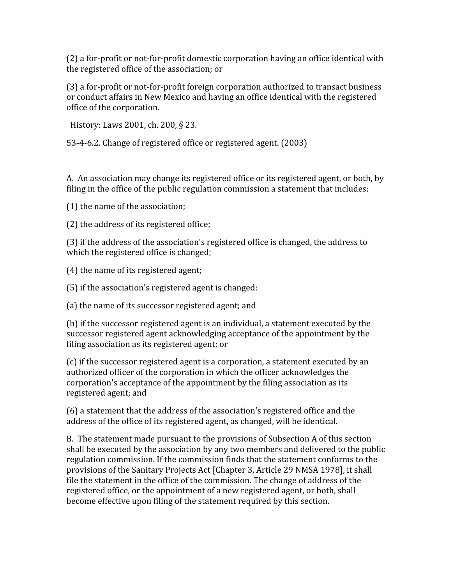(2)
a
for‐profit
or
not‐for‐profit
domestic
corporation
having
an
office
identical
with the
registered
office
of
the
association;
or

(3)
a
for‐profit
or
not‐for‐profit
foreign
corporation
authorized
to
transact
business or
conduct
affairs
in
New
Mexico
and
having
an
office
identical
with
the
registered office
of
the
corporation.

History: Laws 2001, ch. 200, § 23.

53‐4‐6.2.
Change
of
registered
office
or
registered
agent.
(2003)

A. An association may change its registered office or its registered agent, or both, by filing in the office of the public regulation commission a statement that includes:

(1)
the
name
of
the
association;

(2)
the
address
of
its
registered
office;

(3) if the address of the association's registered office is changed, the address to which the registered office is changed;

(4)
the
name
of
its
registered
agent;

(5)
if
the
association's
registered
agent
is
changed:

(a)
the
name
of
its
successor
registered
agent;
and

(b)
if
the
successor
registered
agent
is
an
individual,
a
statement
executed
by
the successor registered agent acknowledging acceptance of the appointment by the filing association as its registered agent; or

(c)
if
the
successor
registered
agent
is
a
corporation,
a
statement
executed
by
an authorized officer of the corporation in which the officer acknowledges the corporation's
acceptance
of
the
appointment
by
the
filing
association
as
its registered
agent;
and

(6)
a
statement
that
the
address
of
the
association's
registered
office
and
the address
of
the
office
of
its
registered
agent,
as
changed,
will
be
identical.

B. The statement made pursuant to the provisions of Subsection A of this section shall be executed by the association by any two members and delivered to the public regulation commission. If the commission finds that the statement conforms to the provisions of the Sanitary Projects Act [Chapter 3, Article 29 NMSA 1978], it shall file the statement in the office of the commission. The change of address of the registered office, or the appointment of a new registered agent, or both, shall become
effective
upon
filing
of
the
statement
required
by
this
section.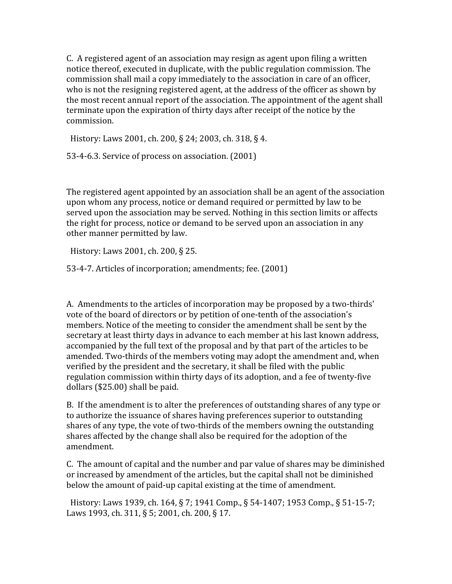C. A registered agent of an association may resign as agent upon filing a written notice
thereof,
executed
in
duplicate,
with
the
public
regulation
commission.
The commission
shall
mail
a
copy
immediately
to
the
association
in
care
of
an
officer, who is not the resigning registered agent, at the address of the officer as shown by the
most
recent
annual
report
of
the
association.
The
appointment
of
the
agent
shall terminate upon the expiration of thirty days after receipt of the notice by the commission.

History: Laws 2001, ch. 200, § 24; 2003, ch. 318, § 4.

53‐4‐6.3.
Service
of
process
on
association.
(2001)

The registered agent appointed by an association shall be an agent of the association upon
whom
any
process,
notice
or
demand
required
or
permitted
by
law
to
be served upon the association may be served. Nothing in this section limits or affects the
right
for
process,
notice
or
demand
to
be
served
upon
an
association
in
any other
manner
permitted
by
law.

History:
Laws
2001,
ch.
200,
§
25.

53‐4‐7.
Articles
of
incorporation;
amendments;
fee.
(2001)

A. Amendments to the articles of incorporation may be proposed by a two-thirds' vote
of
the
board
of
directors
or
by
petition
of
one‐tenth
of
the
association's members. Notice of the meeting to consider the amendment shall be sent by the secretary at least thirty days in advance to each member at his last known address, accompanied
by
the
full
text
of
the
proposal
and
by
that
part
of
the
articles
to
be amended.
Two‐thirds
of
the
members
voting
may
adopt
the
amendment
and,
when verified
by
the
president
and
the
secretary,
it
shall
be
filed
with
the
public regulation commission within thirty days of its adoption, and a fee of twenty-five dollars
(\$25.00)
shall
be
paid.

B. If the amendment is to alter the preferences of outstanding shares of any type or to
authorize
the
issuance
of
shares
having
preferences
superior
to
outstanding shares of any type, the vote of two-thirds of the members owning the outstanding shares affected by the change shall also be required for the adoption of the amendment.

C. The amount of capital and the number and par value of shares may be diminished or
increased
by
amendment
of
the
articles,
but
the
capital
shall
not
be
diminished below the amount of paid-up capital existing at the time of amendment.

History: Laws 1939, ch. 164, § 7; 1941 Comp., § 54-1407; 1953 Comp., § 51-15-7; Laws 1993, ch. 311, § 5; 2001, ch. 200, § 17.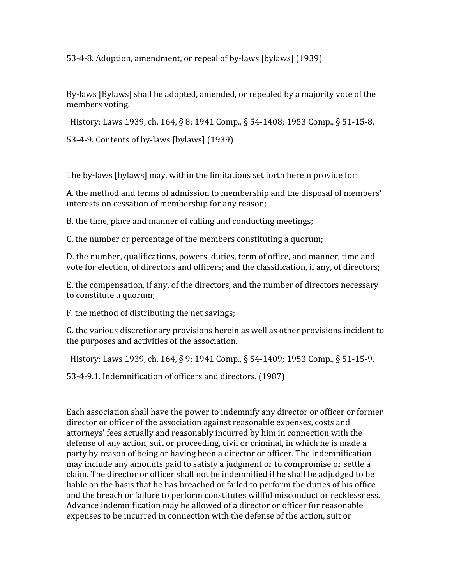53‐4‐8.
Adoption,
amendment,
or
repeal
of
by‐laws
[bylaws]
(1939)

By-laws [Bylaws] shall be adopted, amended, or repealed by a majority vote of the members
voting.

History: Laws 1939, ch. 164, § 8; 1941 Comp., § 54-1408; 1953 Comp., § 51-15-8.

53‐4‐9.
Contents
of
by‐laws
[bylaws]
(1939)

The
by‐laws
[bylaws]
may,
within
the
limitations
set
forth
herein
provide
for:

A, the method and terms of admission to membership and the disposal of members' interests
on
cessation
of
membership
for
any
reason;

B.
the
time,
place
and
manner
of
calling
and
conducting
meetings;

C.
the
number
or
percentage
of
the
members
constituting
a
quorum;

D.
the
number,
qualifications,
powers,
duties,
term
of
office,
and
manner,
time
and vote for election, of directors and officers; and the classification, if any, of directors;

E. the compensation, if any, of the directors, and the number of directors necessary to
constitute
a
quorum;

F.
the
method
of
distributing
the
net
savings;

G.
the
various
discretionary
provisions
herein
as
well
as
other
provisions
incident
to the
purposes
and
activities
of
the
association.

History: Laws 1939, ch. 164, § 9; 1941 Comp., § 54-1409; 1953 Comp., § 51-15-9.

53‐4‐9.1.
Indemnification
of
officers
and
directors.
(1987)

Each association shall have the power to indemnify any director or officer or former director or officer of the association against reasonable expenses, costs and attorneys'
fees
actually
and
reasonably
incurred
by
him
in
connection
with
the defense of any action, suit or proceeding, civil or criminal, in which he is made a party
by
reason
of
being
or
having
been
a
director
or
officer.
The
indemnification may include any amounts paid to satisfy a judgment or to compromise or settle a claim.
The
director
or
officer
shall
not
be
indemnified
if
he
shall
be
adjudged
to
be liable on the basis that he has breached or failed to perform the duties of his office and
the
breach
or
failure
to
perform
constitutes
willful
misconduct
or
recklessness. Advance
indemnification
may
be
allowed
of
a
director
or
officer
for
reasonable expenses
to
be
incurred
in
connection
with
the
defense
of
the
action,
suit
or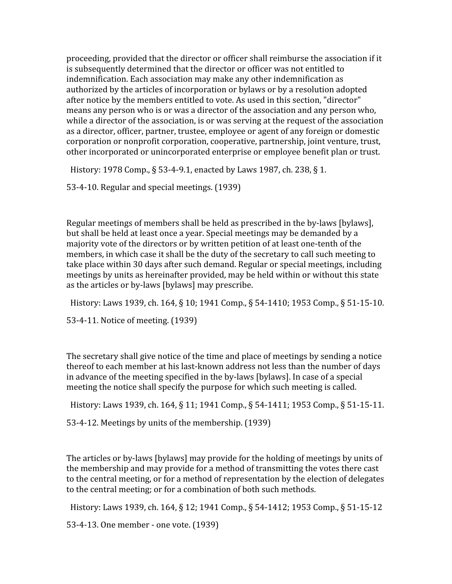proceeding,
provided
that
the
director
or
officer
shall
reimburse
the
association
if
it is subsequently determined that the director or officer was not entitled to indemnification. Each association may make any other indemnification as authorized by the articles of incorporation or bylaws or by a resolution adopted after notice by the members entitled to vote. As used in this section, "director" means
any
person
who
is
or
was
a
director
of
the
association
and
any
person
who, while a director of the association, is or was serving at the request of the association as
a
director,
officer,
partner,
trustee,
employee
or
agent
of
any
foreign
or
domestic corporation
or
nonprofit
corporation,
cooperative,
partnership,
joint
venture,
trust, other incorporated or unincorporated enterprise or employee benefit plan or trust.

History: 1978 Comp., § 53-4-9.1, enacted by Laws 1987, ch. 238, § 1.

53‐4‐10.
Regular
and
special
meetings.
(1939)

Regular
meetings
of
members
shall
be
held
as
prescribed
in
the
by‐laws
[bylaws], but
shall
be
held
at
least
once
a
year.
Special
meetings
may
be
demanded
by
a majority vote of the directors or by written petition of at least one-tenth of the members,
in
which
case
it
shall
be
the
duty
of
the
secretary
to
call
such
meeting
to take
place
within
30
days
after
such
demand.
Regular
or
special
meetings,
including meetings
by
units
as
hereinafter
provided,
may
be
held
within
or
without
this
state as
the
articles
or
by‐laws
[bylaws]
may
prescribe.

History: Laws 1939, ch. 164, § 10; 1941 Comp., § 54-1410; 1953 Comp., § 51-15-10.

53‐4‐11.
Notice
of
meeting.
(1939)

The secretary shall give notice of the time and place of meetings by sending a notice thereof to each member at his last-known address not less than the number of days in advance of the meeting specified in the by-laws [bylaws]. In case of a special meeting
the
notice
shall
specify
the
purpose
for
which
such
meeting
is
called.

History: Laws 1939, ch. 164, § 11; 1941 Comp., § 54-1411; 1953 Comp., § 51-15-11.

53‐4‐12.
Meetings
by
units
of
the
membership.
(1939)

The articles or by-laws [bylaws] may provide for the holding of meetings by units of the
membership
and
may
provide
for
a
method
of
transmitting
the
votes
there
cast to the central meeting, or for a method of representation by the election of delegates to
the
central
meeting;
or
for
a
combination
of
both
such
methods.

History: Laws 1939, ch. 164, § 12; 1941 Comp., § 54-1412; 1953 Comp., § 51-15-12

53‐4‐13.
One
member
‐
one
vote.
(1939)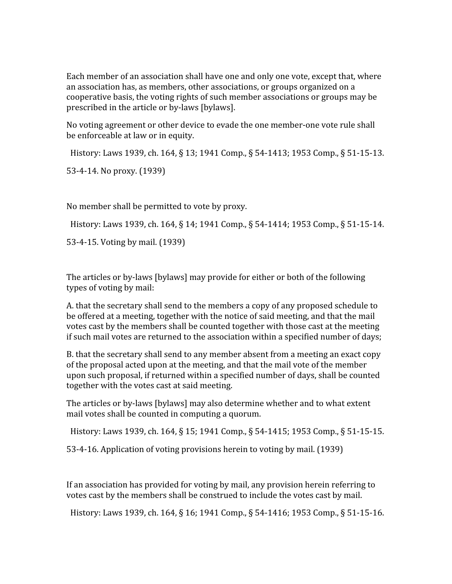Each member of an association shall have one and only one vote, except that, where an association has, as members, other associations, or groups organized on a cooperative
basis,
the
voting
rights
of
such
member
associations
or
groups
may
be prescribed
in
the
article
or
by‐laws
[bylaws].

No voting agreement or other device to evade the one member-one vote rule shall be
enforceable
at
law
or
in
equity.

History: Laws 1939, ch. 164, § 13; 1941 Comp., § 54-1413; 1953 Comp., § 51-15-13.

53‐4‐14.
No
proxy.
(1939)

No
member
shall
be
permitted
to
vote
by
proxy.

History: Laws 1939, ch. 164, § 14; 1941 Comp., § 54-1414; 1953 Comp., § 51-15-14.

53‐4‐15.
Voting
by
mail.
(1939)

The articles or by-laws [bylaws] may provide for either or both of the following types
of
voting
by
mail:

A.
that
the
secretary
shall
send
to
the
members
a
copy
of
any
proposed
schedule
to be offered at a meeting, together with the notice of said meeting, and that the mail votes
cast
by
the
members
shall
be
counted
together
with
those
cast
at
the
meeting if such mail votes are returned to the association within a specified number of days;

B, that the secretary shall send to any member absent from a meeting an exact copy of
the
proposal
acted
upon
at
the
meeting,
and
that
the
mail
vote
of
the
member upon
such
proposal,
if
returned
within
a
specified
number
of
days,
shall
be
counted together
with
the
votes
cast
at
said
meeting.

The
articles
or
by‐laws
[bylaws]
may
also
determine
whether
and
to
what
extent mail
votes
shall
be
counted
in
computing
a
quorum.

History: Laws 1939, ch. 164, § 15; 1941 Comp., § 54-1415; 1953 Comp., § 51-15-15.

53‐4‐16.
Application
of
voting
provisions
herein
to
voting
by
mail.
(1939)

If
an
association
has
provided
for
voting
by
mail,
any
provision
herein
referring
to votes cast by the members shall be construed to include the votes cast by mail.

History: Laws 1939, ch. 164, § 16; 1941 Comp., § 54-1416; 1953 Comp., § 51-15-16.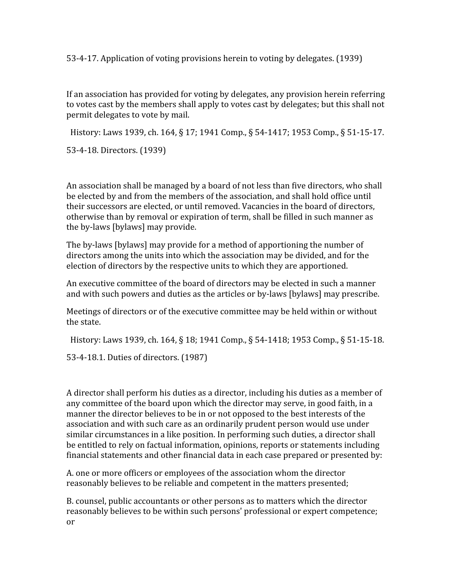53‐4‐17.
Application
of
voting
provisions
herein
to
voting
by
delegates.
(1939)

If
an
association
has
provided
for
voting
by
delegates,
any
provision
herein
referring to votes cast by the members shall apply to votes cast by delegates; but this shall not permit
delegates
to
vote
by
mail.

History: Laws 1939, ch. 164, § 17; 1941 Comp., § 54-1417; 1953 Comp., § 51-15-17.

53‐4‐18.
Directors.
(1939)

An
association
shall
be
managed
by
a
board
of
not
less
than
five
directors,
who
shall be elected by and from the members of the association, and shall hold office until their successors are elected, or until removed. Vacancies in the board of directors, otherwise
than
by
removal
or
expiration
of
term,
shall
be
filled
in
such
manner
as the
by‐laws
[bylaws]
may
provide.

The by-laws [bylaws] may provide for a method of apportioning the number of directors among the units into which the association may be divided, and for the election
of
directors
by
the
respective
units
to
which
they
are
apportioned.

An
executive
committee
of
the
board
of
directors
may
be
elected
in
such
a
manner and
with
such
powers
and
duties
as
the
articles
or
by‐laws
[bylaws]
may
prescribe.

Meetings of directors or of the executive committee may be held within or without the
state.

History: Laws 1939, ch. 164, § 18; 1941 Comp., § 54-1418; 1953 Comp., § 51-15-18.

53‐4‐18.1.
Duties
of
directors.
(1987)

A director shall perform his duties as a director, including his duties as a member of any committee of the board upon which the director may serve, in good faith, in a manner the director believes to be in or not opposed to the best interests of the association and with such care as an ordinarily prudent person would use under similar circumstances in a like position. In performing such duties, a director shall be entitled to rely on factual information, opinions, reports or statements including financial statements and other financial data in each case prepared or presented by:

A.
one
or
more
officers
or
employees
of
the
association
whom
the
director reasonably believes to be reliable and competent in the matters presented;

B.
counsel,
public
accountants
or
other
persons
as
to
matters
which
the
director reasonably believes to be within such persons' professional or expert competence; or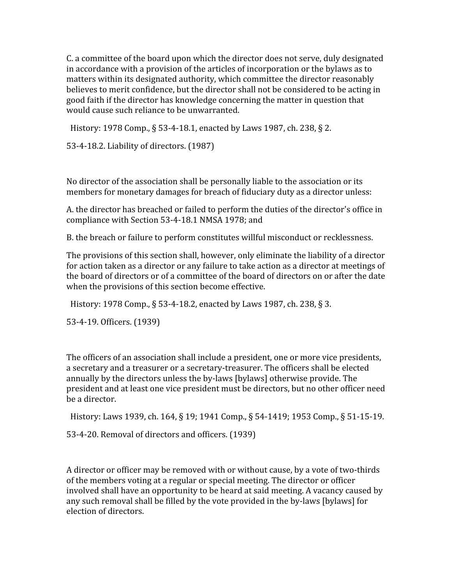C.
a
committee
of
the
board
upon
which
the
director
does
not
serve,
duly
designated in
accordance
with
a
provision
of
the
articles
of
incorporation
or
the
bylaws
as
to matters
within
its
designated
authority,
which
committee
the
director
reasonably believes to merit confidence, but the director shall not be considered to be acting in good
faith
if
the
director
has
knowledge
concerning
the
matter
in
question
that would
cause
such
reliance
to
be
unwarranted.

History: 1978 Comp., § 53-4-18.1, enacted by Laws 1987, ch. 238, § 2.

53‐4‐18.2.
Liability
of
directors.
(1987)

No director of the association shall be personally liable to the association or its members for monetary damages for breach of fiduciary duty as a director unless:

A.
the
director
has
breached
or
failed
to
perform
the
duties
of
the
director's
office
in compliance
with
Section
53‐4‐18.1
NMSA
1978;
and

B.
the
breach
or
failure
to
perform
constitutes
willful
misconduct
or
recklessness.

The provisions of this section shall, however, only eliminate the liability of a director for action taken as a director or any failure to take action as a director at meetings of the board of directors or of a committee of the board of directors on or after the date when the provisions of this section become effective.

History: 1978 Comp., § 53-4-18.2, enacted by Laws 1987, ch. 238, § 3.

53‐4‐19.
Officers.
(1939)

The officers of an association shall include a president, one or more vice presidents, a secretary and a treasurer or a secretary-treasurer. The officers shall be elected annually
by
the
directors
unless
the
by‐laws
[bylaws]
otherwise
provide.
The president
and
at
least
one
vice
president
must
be
directors,
but
no
other
officer
need be
a
director.

History: Laws 1939, ch. 164, § 19; 1941 Comp., § 54-1419; 1953 Comp., § 51-15-19.

53‐4‐20.
Removal
of
directors
and
officers.
(1939)

A director or officer may be removed with or without cause, by a vote of two-thirds of
the
members
voting
at
a
regular
or
special
meeting.
The
director
or
officer involved shall have an opportunity to be heard at said meeting. A vacancy caused by any such removal shall be filled by the vote provided in the by-laws [bylaws] for election
of
directors.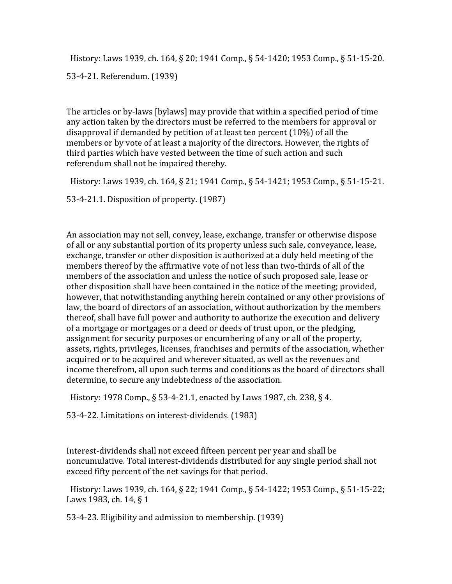History: Laws 1939, ch. 164, § 20; 1941 Comp., § 54-1420; 1953 Comp., § 51-15-20.

53‐4‐21.
Referendum.
(1939)

The articles or by-laws [bylaws] may provide that within a specified period of time any
action
taken
by
the
directors
must
be
referred
to
the
members
for
approval
or disapproval
if
demanded
by
petition
of
at
least
ten
percent
(10%)
of
all
the members or by vote of at least a majority of the directors. However, the rights of third
parties
which
have
vested
between
the
time
of
such
action
and
such referendum
shall
not
be
impaired
thereby.

History: Laws 1939, ch. 164, § 21; 1941 Comp., § 54-1421; 1953 Comp., § 51-15-21.

53‐4‐21.1.
Disposition
of
property.
(1987)

An association may not sell, convey, lease, exchange, transfer or otherwise dispose of all or any substantial portion of its property unless such sale, conveyance, lease, exchange, transfer or other disposition is authorized at a duly held meeting of the members thereof by the affirmative vote of not less than two-thirds of all of the members of the association and unless the notice of such proposed sale, lease or other
disposition
shall
have
been
contained
in
the
notice
of
the
meeting;
provided, however, that notwithstanding anything herein contained or any other provisions of law, the board of directors of an association, without authorization by the members thereof, shall have full power and authority to authorize the execution and delivery of a mortgage or mortgages or a deed or deeds of trust upon, or the pledging, assignment
for
security
purposes
or
encumbering
of
any
or
all
of
the
property, assets,
rights,
privileges,
licenses,
franchises
and
permits
of
the
association,
whether acquired or to be acquired and wherever situated, as well as the revenues and income therefrom, all upon such terms and conditions as the board of directors shall determine, to secure any indebtedness of the association.

History: 1978 Comp., § 53-4-21.1, enacted by Laws 1987, ch. 238, § 4.

53‐4‐22.
Limitations
on
interest‐dividends.
(1983)

Interest-dividends shall not exceed fifteen percent per year and shall be noncumulative. Total interest-dividends distributed for any single period shall not exceed
fifty
percent
of
the
net
savings
for
that
period.

History: Laws 1939, ch. 164, § 22; 1941 Comp., § 54-1422; 1953 Comp., § 51-15-22; Laws 1983, ch. 14, § 1

53‐4‐23.
Eligibility
and
admission
to
membership.
(1939)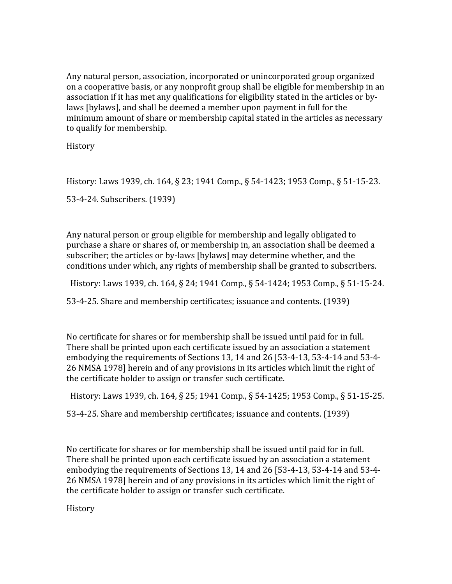Any
natural
person,
association,
incorporated
or
unincorporated
group
organized on a cooperative basis, or any nonprofit group shall be eligible for membership in an association if it has met any qualifications for eligibility stated in the articles or bylaws [bylaws], and shall be deemed a member upon payment in full for the minimum
amount
of
share
or
membership
capital
stated
in
the
articles
as
necessary to
qualify
for
membership.

History

History: Laws 1939, ch. 164, § 23; 1941 Comp., § 54-1423; 1953 Comp., § 51-15-23.

53‐4‐24.
Subscribers.
(1939)

Any natural person or group eligible for membership and legally obligated to purchase a share or shares of, or membership in, an association shall be deemed a subscriber; the articles or by-laws [bylaws] may determine whether, and the conditions
under
which,
any
rights
of
membership
shall
be
granted
to
subscribers.

History: Laws 1939, ch. 164, § 24; 1941 Comp., § 54-1424; 1953 Comp., § 51-15-24.

53‐4‐25.
Share
and
membership
certificates;
issuance
and
contents.
(1939)

No certificate for shares or for membership shall be issued until paid for in full. There shall be printed upon each certificate issued by an association a statement embodying the requirements of Sections 13, 14 and 26 [53-4-13, 53-4-14 and 53-4-26 NMSA 1978] herein and of any provisions in its articles which limit the right of the
certificate
holder
to
assign
or
transfer
such
certificate.

History: Laws 1939, ch. 164, § 25; 1941 Comp., § 54-1425; 1953 Comp., § 51-15-25.

53‐4‐25.
Share
and
membership
certificates;
issuance
and
contents.
(1939)

No certificate for shares or for membership shall be issued until paid for in full. There shall be printed upon each certificate issued by an association a statement embodying the requirements of Sections 13, 14 and 26 [53-4-13, 53-4-14 and 53-4-26
NMSA
1978]
herein
and
of
any
provisions
in
its
articles
which
limit
the
right
of the
certificate
holder
to
assign
or
transfer
such
certificate.

History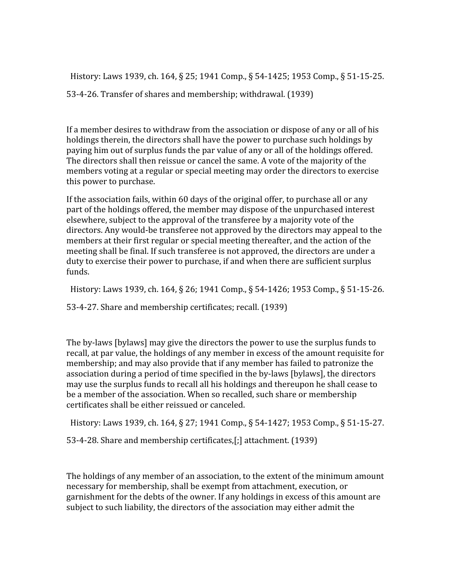History: Laws 1939, ch. 164, § 25; 1941 Comp., § 54-1425; 1953 Comp., § 51-15-25. 53‐4‐26.
Transfer
of
shares
and
membership;
withdrawal.
(1939)

If a member desires to withdraw from the association or dispose of any or all of his holdings therein, the directors shall have the power to purchase such holdings by paying
him
out
of
surplus
funds
the
par
value
of
any
or
all
of
the
holdings
offered. The directors shall then reissue or cancel the same. A vote of the majority of the members voting at a regular or special meeting may order the directors to exercise this
power
to
purchase.

If the association fails, within 60 days of the original offer, to purchase all or any part
of
the
holdings
offered,
the
member
may
dispose
of
the
unpurchased
interest elsewhere, subject to the approval of the transferee by a majority vote of the directors. Any would-be transferee not approved by the directors may appeal to the members at their first regular or special meeting thereafter, and the action of the meeting
shall
be
final.
If
such
transferee
is
not
approved,
the
directors
are
under
a duty
to
exercise
their
power
to
purchase,
if
and
when
there
are
sufficient
surplus funds.

History: Laws 1939, ch. 164, § 26; 1941 Comp., § 54-1426; 1953 Comp., § 51-15-26.

53‐4‐27.
Share
and
membership
certificates;
recall.
(1939)

The
by‐laws
[bylaws]
may
give
the
directors
the
power
to
use
the
surplus
funds
to recall, at par value, the holdings of any member in excess of the amount requisite for membership; and may also provide that if any member has failed to patronize the association during a period of time specified in the by-laws [bylaws], the directors may use the surplus funds to recall all his holdings and thereupon he shall cease to be
a
member
of
the
association.
When
so
recalled,
such
share
or
membership certificates
shall
be
either
reissued
or
canceled.

History:
Laws
1939,
ch.
164,
§
27;
1941
Comp.,
§
54‐1427;
1953
Comp.,
§
51‐15‐27.

53‐4‐28.
Share
and
membership
certificates,[;]
attachment.
(1939)

The holdings of any member of an association, to the extent of the minimum amount necessary
for
membership,
shall
be
exempt
from
attachment,
execution,
or garnishment for the debts of the owner. If any holdings in excess of this amount are subject to such liability, the directors of the association may either admit the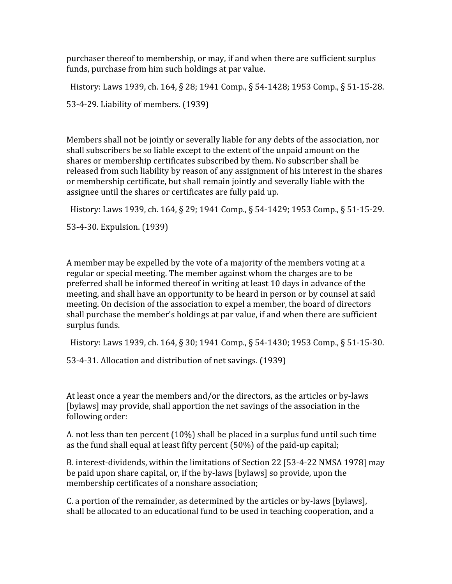purchaser
thereof
to
membership,
or
may,
if
and
when
there
are
sufficient
surplus funds,
purchase
from
him
such
holdings
at
par
value.

History: Laws 1939, ch. 164, § 28; 1941 Comp., § 54-1428; 1953 Comp., § 51-15-28. 53‐4‐29.
Liability
of
members.
(1939)

Members shall not be jointly or severally liable for any debts of the association, nor shall subscribers be so liable except to the extent of the unpaid amount on the shares
or
membership
certificates
subscribed
by
them.
No
subscriber
shall
be released from such liability by reason of any assignment of his interest in the shares or
membership
certificate,
but
shall
remain
jointly
and
severally
liable
with
the assignee
until
the
shares
or
certificates
are
fully
paid
up.

History: Laws 1939, ch. 164, § 29; 1941 Comp., § 54-1429; 1953 Comp., § 51-15-29.

53‐4‐30.
Expulsion.
(1939)

A member may be expelled by the yote of a majority of the members yoting at a regular
or
special
meeting.
The
member
against
whom
the
charges
are
to
be preferred
shall
be
informed
thereof
in
writing
at
least
10
days
in
advance
of
the meeting, and shall have an opportunity to be heard in person or by counsel at said meeting. On decision of the association to expel a member, the board of directors shall
purchase
the
member's
holdings
at
par
value,
if
and
when
there
are
sufficient surplus
funds.

History: Laws 1939, ch. 164, § 30; 1941 Comp., § 54-1430; 1953 Comp., § 51-15-30.

53‐4‐31.
Allocation
and
distribution
of
net
savings.
(1939)

At least once a year the members and/or the directors, as the articles or by-laws [bylaws]
may
provide,
shall
apportion
the
net
savings
of
the
association
in
the following
order:

A.
not
less
than
ten
percent
(10%)
shall
be
placed
in
a
surplus
fund
until
such
time as
the
fund
shall
equal
at
least
fifty
percent
(50%)
of
the
paid‐up
capital;

B. interest-dividends, within the limitations of Section 22 [53-4-22 NMSA 1978] may be paid upon share capital, or, if the by-laws [bylaws] so provide, upon the membership
certificates
of
a
nonshare
association;

C. a portion of the remainder, as determined by the articles or by-laws [bylaws], shall be allocated to an educational fund to be used in teaching cooperation, and a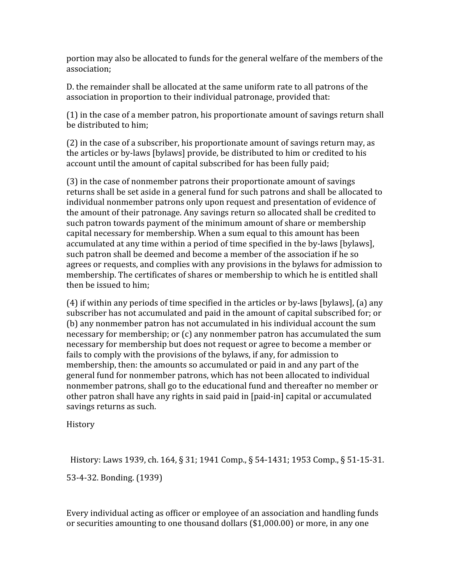portion
may
also
be
allocated
to
funds
for
the
general
welfare
of
the
members
of
the association;

D. the remainder shall be allocated at the same uniform rate to all patrons of the association in proportion to their individual patronage, provided that:

(1)
in
the
case
of
a
member
patron,
his
proportionate
amount
of
savings
return
shall be
distributed
to
him;

(2)
in
the
case
of
a
subscriber,
his
proportionate
amount
of
savings
return
may,
as the articles or by-laws [bylaws] provide, be distributed to him or credited to his account
until
the
amount
of
capital
subscribed
for
has
been
fully
paid;

(3)
in
the
case
of
nonmember
patrons
their
proportionate
amount
of
savings returns shall be set aside in a general fund for such patrons and shall be allocated to individual nonmember patrons only upon request and presentation of evidence of the amount of their patronage. Any savings return so allocated shall be credited to such patron towards payment of the minimum amount of share or membership capital
necessary
for
membership.
When
a
sum
equal
to
this
amount
has
been accumulated
at
any
time
within
a
period
of
time
specified
in
the
by‐laws
[bylaws], such
patron
shall
be
deemed
and
become
a
member
of
the
association
if
he
so agrees
or
requests,
and
complies
with
any
provisions
in
the
bylaws
for
admission
to membership.
The
certificates
of
shares
or
membership
to
which
he
is
entitled
shall then
be
issued
to
him;

(4)
if
within
any
periods
of
time
specified
in
the
articles
or
by‐laws
[bylaws],
(a)
any subscriber has not accumulated and paid in the amount of capital subscribed for; or (b)
any
nonmember
patron
has
not
accumulated
in
his
individual
account
the
sum necessary
for
membership;
or
(c)
any
nonmember
patron
has
accumulated
the
sum necessary
for
membership
but
does
not
request
or
agree
to
become
a
member
or fails to comply with the provisions of the bylaws, if any, for admission to membership, then: the amounts so accumulated or paid in and any part of the general
fund
for
nonmember
patrons,
which
has
not
been
allocated
to
individual nonmember
patrons,
shall
go
to
the
educational
fund
and
thereafter
no
member
or other
patron
shall
have
any
rights
in
said
paid
in
[paid‐in]
capital
or
accumulated savings
returns
as
such.

History

History: Laws 1939, ch. 164, § 31; 1941 Comp., § 54-1431; 1953 Comp., § 51-15-31.

53‐4‐32.
Bonding.
(1939)

Every individual acting as officer or employee of an association and handling funds or securities amounting to one thousand dollars (\$1,000.00) or more, in any one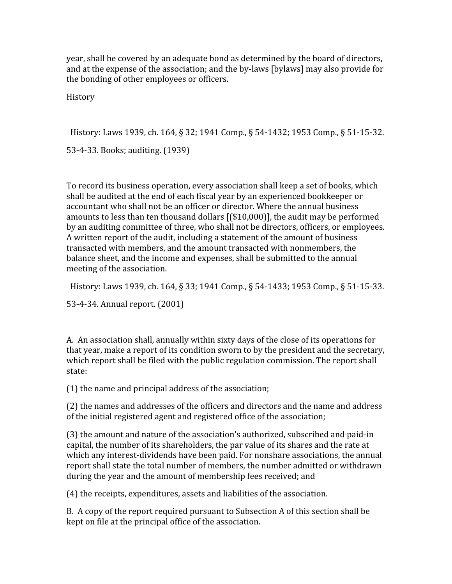year,
shall
be
covered
by
an
adequate
bond
as
determined
by
the
board
of
directors, and
at
the
expense
of
the
association;
and
the
by‐laws
[bylaws]
may
also
provide
for the
bonding
of
other
employees
or
officers.

**History** 

History: Laws 1939, ch. 164, § 32; 1941 Comp., § 54-1432; 1953 Comp., § 51-15-32.

53‐4‐33.
Books;
auditing.
(1939)

To
record
its
business
operation,
every
association
shall
keep
a
set
of
books,
which shall
be
audited
at
the
end
of
each
fiscal
year
by
an
experienced
bookkeeper
or accountant
who
shall
not
be
an
officer
or
director.
Where
the
annual
business amounts to less than ten thousand dollars [(\$10,000)], the audit may be performed by
an
auditing
committee
of
three,
who
shall
not
be
directors,
officers,
or
employees. A written report of the audit, including a statement of the amount of business transacted
with
members,
and
the
amount
transacted
with
nonmembers,
the balance
sheet,
and
the
income
and
expenses,
shall
be
submitted
to
the
annual meeting
of
the
association.

History: Laws 1939, ch. 164, § 33; 1941 Comp., § 54-1433; 1953 Comp., § 51-15-33.

53‐4‐34.
Annual
report.
(2001)

A. An association shall, annually within sixty days of the close of its operations for that year, make a report of its condition sworn to by the president and the secretary, which report shall be filed with the public regulation commission. The report shall state:

(1)
the
name
and
principal
address
of
the
association;

(2)
the
names
and
addresses
of
the
officers
and
directors
and
the
name
and
address of
the
initial
registered
agent
and
registered
office
of
the
association;

(3)
the
amount
and
nature
of
the
association's
authorized,
subscribed
and
paid‐in capital, the number of its shareholders, the par value of its shares and the rate at which any interest-dividends have been paid. For nonshare associations, the annual report shall state the total number of members, the number admitted or withdrawn during the year and the amount of membership fees received; and

(4)
the
receipts,
expenditures,
assets
and
liabilities
of
the
association.

B. A copy of the report required pursuant to Subsection A of this section shall be kept
on
file
at
the
principal
office
of
the
association.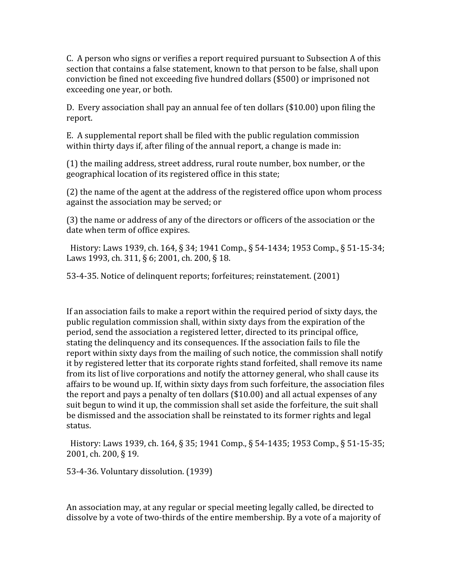C. A person who signs or verifies a report required pursuant to Subsection A of this section that contains a false statement, known to that person to be false, shall upon conviction
be
fined
not
exceeding
five
hundred
dollars
(\$500)
or
imprisoned
not exceeding
one
year,
or
both.

D. Every association shall pay an annual fee of ten dollars (\$10.00) upon filing the report.

E.

A
supplemental
report
shall
be
filed
with
the
public
regulation
commission within thirty days if, after filing of the annual report, a change is made in:

(1)
the
mailing
address,
street
address,
rural
route
number,
box
number,
or
the geographical location of its registered office in this state;

(2)
the
name
of
the
agent
at
the
address
of
the
registered
office
upon
whom
process against
the
association
may
be
served;
or

(3)
the
name
or
address
of
any
of
the
directors
or
officers
of
the
association
or
the date
when
term
of
office
expires.

History: Laws 1939, ch. 164, § 34; 1941 Comp., § 54-1434; 1953 Comp., § 51-15-34; Laws 1993, ch. 311, § 6; 2001, ch. 200, § 18.

53‐4‐35.
Notice
of
delinquent
reports;
forfeitures;
reinstatement.
(2001)

If an association fails to make a report within the required period of sixty days, the public
regulation
commission
shall,
within
sixty
days
from
the
expiration
of
the period, send the association a registered letter, directed to its principal office, stating the delinquency and its consequences. If the association fails to file the report within sixty days from the mailing of such notice, the commission shall notify it by registered letter that its corporate rights stand forfeited, shall remove its name from its list of live corporations and notify the attorney general, who shall cause its affairs
to
be
wound
up.
If,
within
sixty
days
from
such
forfeiture,
the
association
files the report and pays a penalty of ten dollars (\$10.00) and all actual expenses of any suit begun to wind it up, the commission shall set aside the forfeiture, the suit shall be dismissed and the association shall be reinstated to its former rights and legal status.

History: Laws 1939, ch. 164, § 35; 1941 Comp., § 54-1435; 1953 Comp., § 51-15-35; 2001,
ch.
200,
§
19.

53‐4‐36.
Voluntary
dissolution.
(1939)

An association may, at any regular or special meeting legally called, be directed to dissolve by a vote of two-thirds of the entire membership. By a vote of a majority of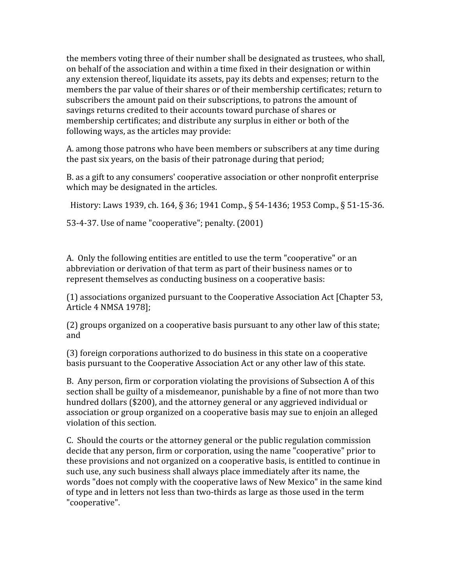the
members
voting
three
of
their
number
shall
be
designated
as
trustees,
who
shall, on
behalf
of
the
association
and
within
a
time
fixed
in
their
designation
or
within any extension thereof, liquidate its assets, pay its debts and expenses; return to the members the par value of their shares or of their membership certificates; return to subscribers the amount paid on their subscriptions, to patrons the amount of savings returns credited to their accounts toward purchase of shares or membership
certificates;
and
distribute
any
surplus
in
either
or
both
of
the following
ways,
as
the
articles
may
provide:

A.
among
those
patrons
who
have
been
members
or
subscribers
at
any
time
during the
past
six
years,
on
the
basis
of
their
patronage
during
that
period;

B.
as
a
gift
to
any
consumers'
cooperative
association
or
other
nonprofit
enterprise which may be designated in the articles.

History: Laws 1939, ch. 164, § 36; 1941 Comp., § 54-1436; 1953 Comp., § 51-15-36.

53‐4‐37.
Use
of
name
"cooperative";
penalty.
(2001)

A. Only the following entities are entitled to use the term "cooperative" or an abbreviation or derivation of that term as part of their business names or to represent
themselves
as
conducting
business
on
a
cooperative
basis:

(1)
associations
organized
pursuant
to
the
Cooperative
Association
Act
[Chapter
53, Article
4
NMSA
1978];

(2)
groups
organized
on
a
cooperative
basis
pursuant
to
any
other
law
of
this
state; and

(3)
foreign
corporations
authorized
to
do
business
in
this
state
on
a
cooperative basis
pursuant
to
the
Cooperative
Association
Act
or
any
other
law
of
this
state.

B. Any person, firm or corporation violating the provisions of Subsection A of this section shall be guilty of a misdemeanor, punishable by a fine of not more than two hundred dollars (\$200), and the attorney general or any aggrieved individual or association or group organized on a cooperative basis may sue to enjoin an alleged violation
of
this
section.

C.

Should
the
courts
or
the
attorney
general
or
the
public
regulation
commission decide that any person, firm or corporation, using the name "cooperative" prior to these
provisions
and
not
organized
on
a
cooperative
basis,
is
entitled
to
continue
in such use, any such business shall always place immediately after its name, the words "does not comply with the cooperative laws of New Mexico" in the same kind of type and in letters not less than two-thirds as large as those used in the term "cooperative".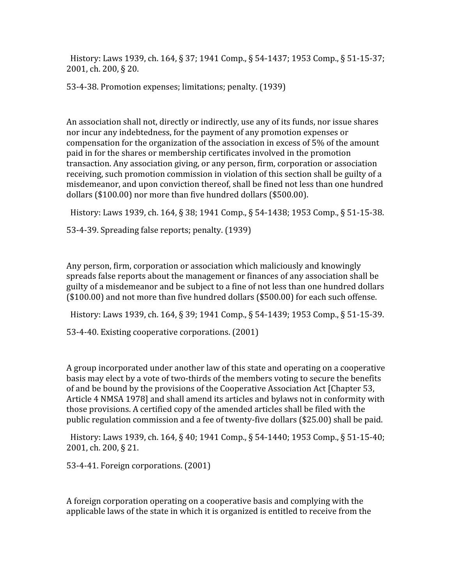History: Laws 1939, ch. 164, § 37; 1941 Comp., § 54-1437; 1953 Comp., § 51-15-37; 2001,
ch.
200,
§
20.

53‐4‐38.
Promotion
expenses;
limitations;
penalty.
(1939)

An association shall not, directly or indirectly, use any of its funds, nor issue shares nor
incur
any
indebtedness,
for
the
payment
of
any
promotion
expenses
or compensation
for
the
organization
of
the
association
in
excess
of
5%
of
the
amount paid
in
for
the
shares
or
membership
certificates
involved
in
the
promotion transaction.
Any
association
giving,
or
any
person,
firm,
corporation
or
association receiving, such promotion commission in violation of this section shall be guilty of a misdemeanor,
and
upon
conviction
thereof,
shall
be
fined
not
less
than
one
hundred dollars
(\$100.00)
nor
more
than
five
hundred
dollars
(\$500.00).

History: Laws 1939, ch. 164, § 38; 1941 Comp., § 54-1438; 1953 Comp., § 51-15-38.

53‐4‐39.
Spreading
false
reports;
penalty.
(1939)

Any
person,
firm,
corporation
or
association
which
maliciously
and
knowingly spreads
false
reports
about
the
management
or
finances
of
any
association
shall
be guilty
of
a
misdemeanor
and
be
subject
to
a
fine
of
not
less
than
one
hundred
dollars (\$100.00)
and
not
more
than
five
hundred
dollars
(\$500.00)
for
each
such
offense.

History: Laws 1939, ch. 164, § 39; 1941 Comp., § 54-1439; 1953 Comp., § 51-15-39.

53‐4‐40.
Existing
cooperative
corporations.
(2001)

A group incorporated under another law of this state and operating on a cooperative basis may elect by a vote of two-thirds of the members voting to secure the benefits of
and
be
bound
by
the
provisions
of
the
Cooperative
Association
Act
[Chapter
53, Article 4 NMSA 1978] and shall amend its articles and bylaws not in conformity with those
provisions.
A
certified
copy
of
the
amended
articles
shall
be
filed
with
the public
regulation
commission
and
a
fee
of
twenty‐five
dollars
(\$25.00)
shall
be
paid.

History: Laws 1939, ch. 164, § 40; 1941 Comp., § 54-1440; 1953 Comp., § 51-15-40; 2001,
ch.
200,
§
21.

53‐4‐41.
Foreign
corporations.
(2001)

A foreign corporation operating on a cooperative basis and complying with the applicable
laws
of
the
state
in
which
it
is
organized
is
entitled
to
receive
from
the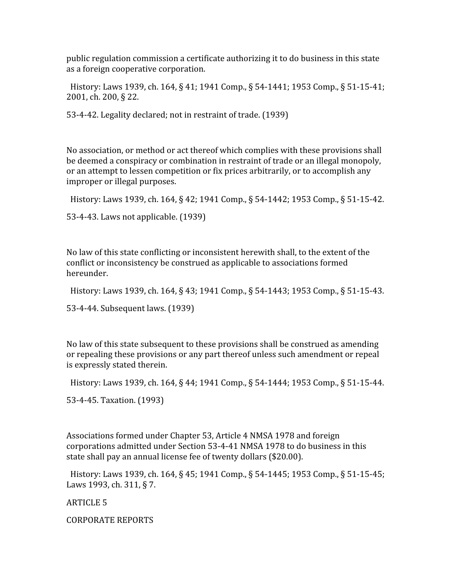public
regulation
commission
a
certificate
authorizing
it
to
do
business
in
this
state as
a
foreign
cooperative
corporation.

History: Laws 1939, ch. 164, § 41; 1941 Comp., § 54-1441; 1953 Comp., § 51-15-41; 2001,
ch.
200,
§
22.

53‐4‐42.
Legality
declared;
not
in
restraint
of
trade.
(1939)

No association, or method or act thereof which complies with these provisions shall be deemed a conspiracy or combination in restraint of trade or an illegal monopoly, or
an
attempt
to
lessen
competition
or
fix
prices
arbitrarily,
or
to
accomplish
any improper
or
illegal
purposes.

History: Laws 1939, ch. 164, § 42; 1941 Comp., § 54-1442; 1953 Comp., § 51-15-42.

53‐4‐43.
Laws
not
applicable.
(1939)

No law of this state conflicting or inconsistent herewith shall, to the extent of the conflict
or
inconsistency
be
construed
as
applicable
to
associations
formed hereunder.

History: Laws 1939, ch. 164, § 43; 1941 Comp., § 54-1443; 1953 Comp., § 51-15-43.

53‐4‐44.
Subsequent
laws.
(1939)

No
law
of
this
state
subsequent
to
these
provisions
shall
be
construed
as
amending or repealing these provisions or any part thereof unless such amendment or repeal is
expressly
stated
therein.

History: Laws 1939, ch. 164, § 44; 1941 Comp., § 54-1444; 1953 Comp., § 51-15-44.

53‐4‐45.
Taxation.
(1993)

Associations
formed
under
Chapter
53,
Article
4
NMSA
1978
and
foreign corporations
admitted
under
Section
53‐4‐41
NMSA
1978
to
do
business
in
this state shall pay an annual license fee of twenty dollars (\$20.00).

History: Laws 1939, ch. 164, § 45; 1941 Comp., § 54-1445; 1953 Comp., § 51-15-45; Laws 1993, ch. 311, § 7.

ARTICLE
5

CORPORATE
REPORTS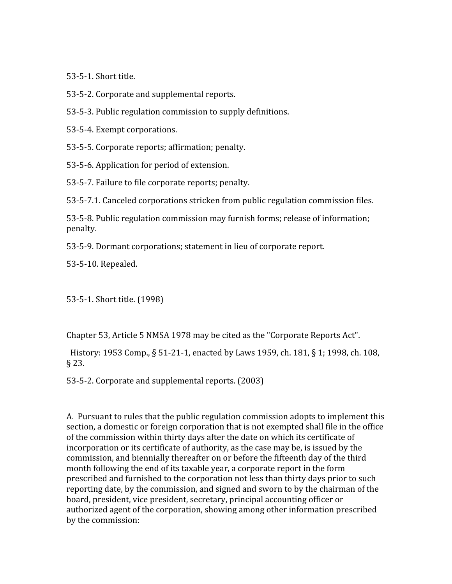53‐5‐1.
Short
title.

53‐5‐2.
Corporate
and
supplemental
reports.

53‐5‐3.
Public
regulation
commission
to
supply
definitions.

53‐5‐4.
Exempt
corporations.

53‐5‐5.
Corporate
reports;
affirmation;
penalty.

53‐5‐6.
Application
for
period
of
extension.

53‐5‐7.
Failure
to
file
corporate
reports;
penalty.

53‐5‐7.1.
Canceled
corporations
stricken
from
public
regulation
commission
files.

53‐5‐8.
Public
regulation
commission
may
furnish
forms;
release
of
information; penalty.

53‐5‐9.
Dormant
corporations;
statement
in
lieu
of
corporate
report.

53‐5‐10.
Repealed.

53‐5‐1.
Short
title.
(1998)

Chapter
53,
Article
5
NMSA
1978
may
be
cited
as
the
"Corporate
Reports
Act".

History: 1953 Comp., § 51-21-1, enacted by Laws 1959, ch. 181, § 1; 1998, ch. 108, §
23.

53‐5‐2.
Corporate
and
supplemental
reports.
(2003)

A. Pursuant to rules that the public regulation commission adopts to implement this section, a domestic or foreign corporation that is not exempted shall file in the office of
the
commission
within
thirty
days
after
the
date
on
which
its
certificate
of incorporation or its certificate of authority, as the case may be, is issued by the commission,
and
biennially
thereafter
on
or
before
the
fifteenth
day
of
the
third month following the end of its taxable year, a corporate report in the form prescribed and furnished to the corporation not less than thirty days prior to such reporting date, by the commission, and signed and sworn to by the chairman of the board, president, vice president, secretary, principal accounting officer or authorized agent of the corporation, showing among other information prescribed by
the
commission: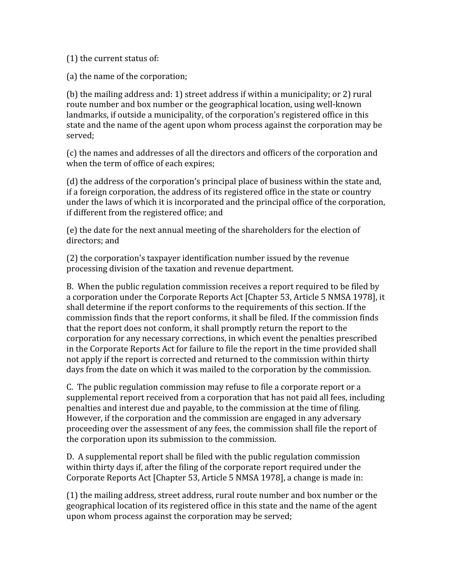(1)
the
current
status
of:

(a)
the
name
of
the
corporation;

(b)
the
mailing
address
and:
1)
street
address
if
within
a
municipality;
or
2)
rural route number and box number or the geographical location, using well-known landmarks, if outside a municipality, of the corporation's registered office in this state and the name of the agent upon whom process against the corporation may be served;

(c)
the
names
and
addresses
of
all
the
directors
and
officers
of
the
corporation
and when the term of office of each expires:

(d)
the
address
of
the
corporation's
principal
place
of
business
within
the
state
and, if a foreign corporation, the address of its registered office in the state or country under the laws of which it is incorporated and the principal office of the corporation, if
different
from
the
registered
office;
and

(e)
the
date
for
the
next
annual
meeting
of
the
shareholders
for
the
election
of directors;
and

(2)
the
corporation's
taxpayer
identification
number
issued
by
the
revenue processing
division
of
the
taxation
and
revenue
department.

B. When the public regulation commission receives a report required to be filed by a corporation under the Corporate Reports Act [Chapter 53, Article 5 NMSA 1978], it shall determine if the report conforms to the requirements of this section. If the commission
finds
that
the
report
conforms,
it
shall
be
filed.
If
the
commission
finds that
the
report
does
not
conform,
it
shall
promptly
return
the
report
to
the corporation
for
any
necessary
corrections,
in
which
event
the
penalties
prescribed in the Corporate Reports Act for failure to file the report in the time provided shall not apply if the report is corrected and returned to the commission within thirty days from the date on which it was mailed to the corporation by the commission.

C. The public regulation commission may refuse to file a corporate report or a supplemental report received from a corporation that has not paid all fees, including penalties
and
interest
due
and
payable,
to
the
commission
at
the
time
of
filing. However, if the corporation and the commission are engaged in any adversary proceeding
over
the
assessment
of
any
fees,
the
commission
shall
file
the
report
of the
corporation
upon
its
submission
to
the
commission.

D.

A
supplemental
report
shall
be
filed
with
the
public
regulation
commission within thirty days if, after the filing of the corporate report required under the Corporate Reports Act [Chapter 53, Article 5 NMSA 1978], a change is made in:

(1)
the
mailing
address,
street
address,
rural
route
number
and
box
number
or
the geographical location of its registered office in this state and the name of the agent upon
whom
process
against
the
corporation
may
be
served;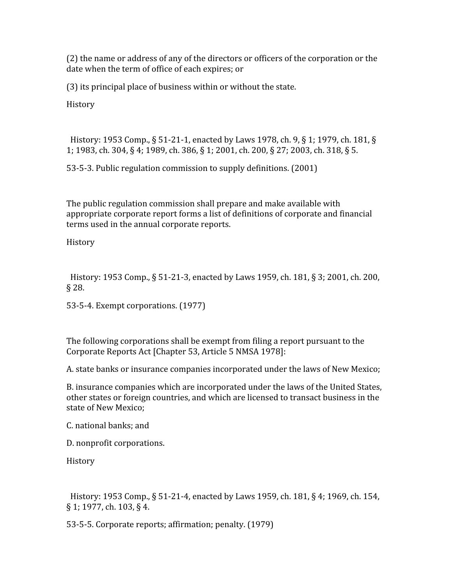(2)
the
name
or
address
of
any
of
the
directors
or
officers
of
the
corporation
or
the date
when
the
term
of
office
of
each
expires;
or

(3)
its
principal
place
of
business
within
or
without
the
state.

History

History: 1953 Comp., § 51-21-1, enacted by Laws 1978, ch. 9, § 1; 1979, ch. 181, § 1; 1983, ch. 304, § 4; 1989, ch. 386, § 1; 2001, ch. 200, § 27; 2003, ch. 318, § 5.

53‐5‐3.
Public
regulation
commission
to
supply
definitions.
(2001)

The
public
regulation
commission
shall
prepare
and
make
available
with appropriate corporate report forms a list of definitions of corporate and financial terms
used
in
the
annual
corporate
reports.

History

History: 1953 Comp., § 51-21-3, enacted by Laws 1959, ch. 181, § 3; 2001, ch. 200, §
28.

53‐5‐4.
Exempt
corporations.
(1977)

The
following
corporations
shall
be
exempt
from
filing
a
report
pursuant
to
the Corporate
Reports
Act
[Chapter
53,
Article
5
NMSA
1978]:

A.
state
banks
or
insurance
companies
incorporated
under
the
laws
of
New
Mexico;

B.
insurance
companies
which
are
incorporated
under
the
laws
of
the
United
States, other
states
or
foreign
countries,
and
which
are
licensed
to
transact
business
in
the state
of
New
Mexico;

C.
national
banks;
and

D.
nonprofit
corporations.

History

History: 1953 Comp., § 51-21-4, enacted by Laws 1959, ch. 181, § 4; 1969, ch. 154, § 1; 1977, ch. 103, § 4.

53‐5‐5.
Corporate
reports;
affirmation;
penalty.
(1979)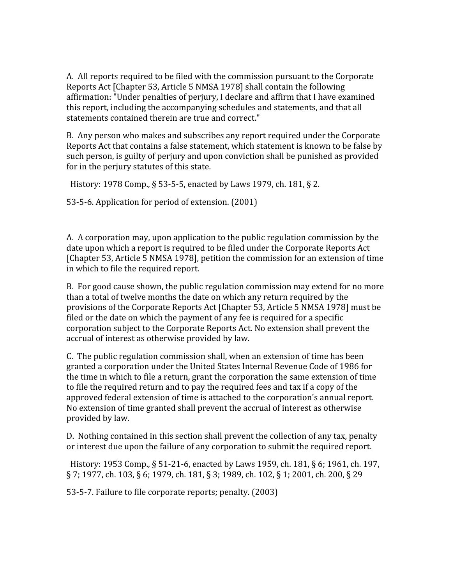A.

All
reports
required
to
be
filed
with
the
commission
pursuant
to
the
Corporate Reports
Act
[Chapter
53,
Article
5
NMSA
1978]
shall
contain
the
following affirmation:
"Under
penalties
of
perjury,
I
declare
and
affirm
that
I
have
examined this report, including the accompanying schedules and statements, and that all statements
contained
therein
are
true
and
correct."

B.

Any
person
who
makes
and
subscribes
any
report
required
under
the
Corporate Reports Act that contains a false statement, which statement is known to be false by such person, is guilty of perjury and upon conviction shall be punished as provided for
in
the
perjury
statutes
of
this
state.

History: 1978 Comp., § 53-5-5, enacted by Laws 1979, ch. 181, § 2.

53‐5‐6.
Application
for
period
of
extension.
(2001)

A. A corporation may, upon application to the public regulation commission by the date upon which a report is required to be filed under the Corporate Reports Act [Chapter
53,
Article
5
NMSA
1978],
petition
the
commission
for
an
extension
of
time in
which
to
file
the
required
report.

B. For good cause shown, the public regulation commission may extend for no more than
a
total
of
twelve
months
the
date
on
which
any
return
required
by
the provisions
of
the
Corporate
Reports
Act
[Chapter
53,
Article
5
NMSA
1978]
must
be filed or the date on which the payment of any fee is required for a specific corporation subject to the Corporate Reports Act. No extension shall prevent the accrual
of
interest
as
otherwise
provided
by
law.

C.

The
public
regulation
commission
shall,
when
an
extension
of
time
has
been granted
a
corporation
under
the
United
States
Internal
Revenue
Code
of
1986
for the
time
in
which
to
file
a
return,
grant
the
corporation
the
same
extension
of
time to file the required return and to pay the required fees and tax if a copy of the approved
federal
extension
of
time
is
attached
to
the
corporation's
annual
report. No
extension
of
time
granted
shall
prevent
the
accrual
of
interest
as
otherwise provided
by
law.

D. Nothing contained in this section shall prevent the collection of any tax, penalty or interest due upon the failure of any corporation to submit the required report.

History: 1953 Comp., § 51-21-6, enacted by Laws 1959, ch. 181, § 6; 1961, ch. 197, § 7; 1977, ch. 103, § 6; 1979, ch. 181, § 3; 1989, ch. 102, § 1; 2001, ch. 200, § 29

53‐5‐7.
Failure
to
file
corporate
reports;
penalty.
(2003)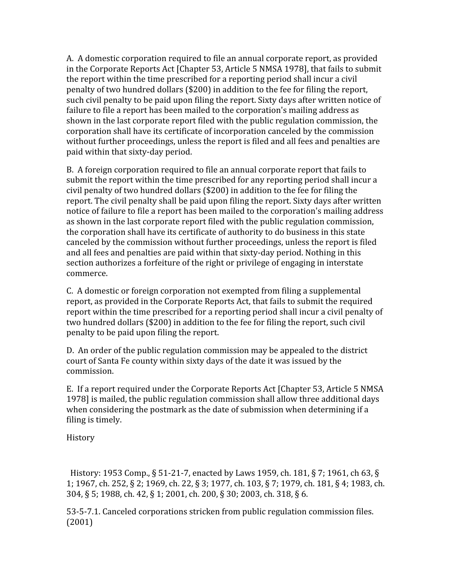A. A domestic corporation required to file an annual corporate report, as provided in
the
Corporate
Reports
Act
[Chapter
53,
Article
5
NMSA
1978],
that
fails
to
submit the report within the time prescribed for a reporting period shall incur a civil penalty
of
two
hundred
dollars
(\$200)
in
addition
to
the
fee
for
filing
the
report, such civil penalty to be paid upon filing the report. Sixty days after written notice of failure to file a report has been mailed to the corporation's mailing address as shown
in
the
last
corporate
report
filed
with
the
public
regulation
commission,
the corporation
shall
have
its
certificate
of
incorporation
canceled
by
the
commission without further proceedings, unless the report is filed and all fees and penalties are paid
within
that
sixty‐day
period.

B. A foreign corporation required to file an annual corporate report that fails to submit the report within the time prescribed for any reporting period shall incur a civil
penalty
of
two
hundred
dollars
(\$200)
in
addition
to
the
fee
for
filing
the report. The civil penalty shall be paid upon filing the report. Sixty days after written notice of failure to file a report has been mailed to the corporation's mailing address as
shown
in
the
last
corporate
report
filed
with
the
public
regulation
commission, the corporation shall have its certificate of authority to do business in this state canceled
by
the
commission
without
further
proceedings,
unless
the
report
is
filed and all fees and penalties are paid within that sixty-day period. Nothing in this section authorizes a forfeiture of the right or privilege of engaging in interstate commerce.

C.

A
domestic
or
foreign
corporation
not
exempted
from
filing
a
supplemental report, as provided in the Corporate Reports Act, that fails to submit the required report within the time prescribed for a reporting period shall incur a civil penalty of two hundred dollars (\$200) in addition to the fee for filing the report, such civil penalty
to
be
paid
upon
filing
the
report.

D. An order of the public regulation commission may be appealed to the district court
of
Santa
Fe
county
within
sixty
days
of
the
date
it
was
issued
by
the commission.

E. If a report required under the Corporate Reports Act [Chapter 53, Article 5 NMSA] 1978]
is
mailed,
the
public
regulation
commission
shall
allow
three
additional
days when considering the postmark as the date of submission when determining if a filing
is
timely.

History

History: 1953 Comp., § 51-21-7, enacted by Laws 1959, ch. 181, § 7; 1961, ch 63, § 1; 1967, ch. 252, § 2; 1969, ch. 22, § 3; 1977, ch. 103, § 7; 1979, ch. 181, § 4; 1983, ch. 304, § 5; 1988, ch. 42, § 1; 2001, ch. 200, § 30; 2003, ch. 318, § 6.

53‐5‐7.1.
Canceled
corporations
stricken
from
public
regulation
commission
files. (2001)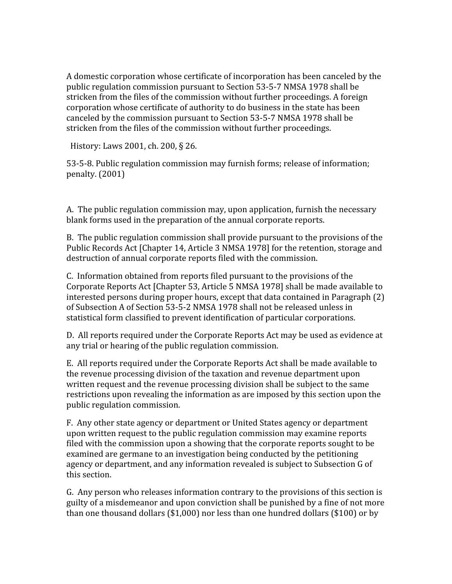A
domestic
corporation
whose
certificate
of
incorporation
has
been
canceled
by
the public regulation commission pursuant to Section 53-5-7 NMSA 1978 shall be stricken from the files of the commission without further proceedings. A foreign corporation
whose
certificate
of
authority
to
do
business
in
the
state
has
been canceled
by
the
commission
pursuant
to
Section
53‐5‐7
NMSA
1978
shall
be stricken
from
the
files
of
the
commission
without
further
proceedings.

History:
Laws
2001,
ch.
200,
§
26.

53‐5‐8.
Public
regulation
commission
may
furnish
forms;
release
of
information; penalty.
(2001)

A.

The
public
regulation
commission
may,
upon
application,
furnish
the
necessary blank forms used in the preparation of the annual corporate reports.

B. The public regulation commission shall provide pursuant to the provisions of the Public Records Act [Chapter 14, Article 3 NMSA 1978] for the retention, storage and destruction
of
annual
corporate
reports
filed
with
the
commission.

C.

Information
obtained
from
reports
filed
pursuant
to
the
provisions
of
the Corporate
Reports
Act
[Chapter
53,
Article
5
NMSA
1978]
shall
be
made
available
to interested
persons
during
proper
hours,
except
that
data
contained
in
Paragraph
(2) of Subsection A of Section 53-5-2 NMSA 1978 shall not be released unless in statistical
form
classified
to
prevent
identification
of
particular
corporations.

D. All reports required under the Corporate Reports Act may be used as evidence at any
trial
or
hearing
of
the
public
regulation
commission.

E. All reports required under the Corporate Reports Act shall be made available to the revenue processing division of the taxation and revenue department upon written request and the revenue processing division shall be subject to the same restrictions upon revealing the information as are imposed by this section upon the public
regulation
commission.

F.

Any
other
state
agency
or
department
or
United
States
agency
or
department upon written request to the public regulation commission may examine reports filed with the commission upon a showing that the corporate reports sought to be examined are germane to an investigation being conducted by the petitioning agency or department, and any information revealed is subject to Subsection G of this
section.

G.

Any
person
who
releases
information
contrary
to
the
provisions
of
this
section
is guilty
of
a
misdemeanor
and
upon
conviction
shall
be
punished
by
a
fine
of
not
more than one thousand dollars (\$1,000) nor less than one hundred dollars (\$100) or by